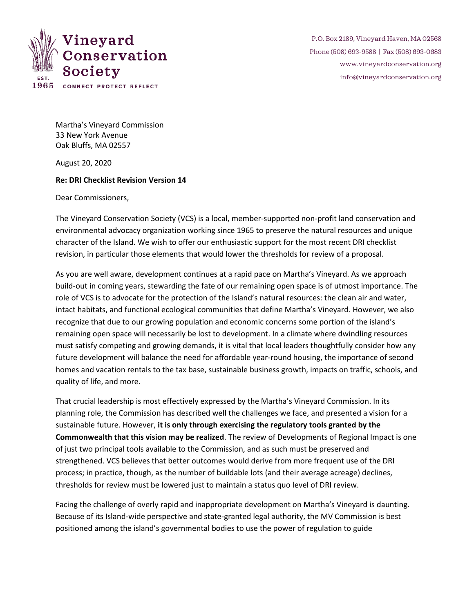

P.O. Box 2189, Vineyard Haven, MA 02568 Phone (508) 693-9588 | Fax (508) 693-0683 [www.vineyardconservation.org](http://www.vineyardconservation.org/) [info@vineyardconservation.org](mailto:info@vineyardconservation.org)

Martha's Vineyard Commission 33 New York Avenue Oak Bluffs, MA 02557

August 20, 2020

## **Re: DRI Checklist Revision Version 14**

Dear Commissioners,

The Vineyard Conservation Society (VCS) is a local, member-supported non-profit land conservation and environmental advocacy organization working since 1965 to preserve the natural resources and unique character of the Island. We wish to offer our enthusiastic support for the most recent DRI checklist revision, in particular those elements that would lower the thresholds for review of a proposal.

As you are well aware, development continues at a rapid pace on Martha's Vineyard. As we approach build-out in coming years, stewarding the fate of our remaining open space is of utmost importance. The role of VCS is to advocate for the protection of the Island's natural resources: the clean air and water, intact habitats, and functional ecological communities that define Martha's Vineyard. However, we also recognize that due to our growing population and economic concerns some portion of the island's remaining open space will necessarily be lost to development. In a climate where dwindling resources must satisfy competing and growing demands, it is vital that local leaders thoughtfully consider how any future development will balance the need for affordable year-round housing, the importance of second homes and vacation rentals to the tax base, sustainable business growth, impacts on traffic, schools, and quality of life, and more.

That crucial leadership is most effectively expressed by the Martha's Vineyard Commission. In its planning role, the Commission has described well the challenges we face, and presented a vision for a sustainable future. However, **it is only through exercising the regulatory tools granted by the Commonwealth that this vision may be realized**. The review of Developments of Regional Impact is one of just two principal tools available to the Commission, and as such must be preserved and strengthened. VCS believes that better outcomes would derive from more frequent use of the DRI process; in practice, though, as the number of buildable lots (and their average acreage) declines, thresholds for review must be lowered just to maintain a status quo level of DRI review.

Facing the challenge of overly rapid and inappropriate development on Martha's Vineyard is daunting. Because of its Island-wide perspective and state-granted legal authority, the MV Commission is best positioned among the island's governmental bodies to use the power of regulation to guide